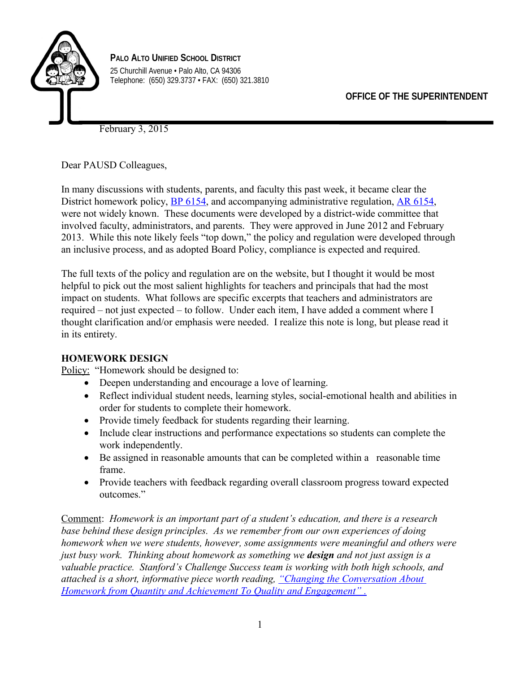

**PALO ALTO UNIFIED SCHOOL DISTRICT** 25 Churchill Avenue • Palo Alto, CA 94306 Telephone: (650) 329.3737 • FAX: (650) 321.3810

February 3, 2015

Dear PAUSD Colleagues,

In many discussions with students, parents, and faculty this past week, it became clear the District homework policy, [BP 6154,](http://pausd.org/community/board/Policies/downloads/BP6154_Homework.pdf) and accompanying administrative regulation, [AR 6154,](http://pausd.org/community/board/Policies/downloads/AR6154_Homework.pdf) were not widely known. These documents were developed by a district-wide committee that involved faculty, administrators, and parents. They were approved in June 2012 and February 2013. While this note likely feels "top down," the policy and regulation were developed through an inclusive process, and as adopted Board Policy, compliance is expected and required.

The full texts of the policy and regulation are on the website, but I thought it would be most helpful to pick out the most salient highlights for teachers and principals that had the most impact on students. What follows are specific excerpts that teachers and administrators are required – not just expected – to follow. Under each item, I have added a comment where I thought clarification and/or emphasis were needed. I realize this note is long, but please read it in its entirety.

### **HOMEWORK DESIGN**

Policy: "Homework should be designed to:

- Deepen understanding and encourage a love of learning.
- Reflect individual student needs, learning styles, social-emotional health and abilities in order for students to complete their homework.
- Provide timely feedback for students regarding their learning.
- Include clear instructions and performance expectations so students can complete the work independently.
- Be assigned in reasonable amounts that can be completed within a reasonable time frame.
- Provide teachers with feedback regarding overall classroom progress toward expected outcomes."

Comment: *Homework is an important part of a student's education, and there is a research base behind these design principles. As we remember from our own experiences of doing homework when we were students, however, some assignments were meaningful and others were just busy work. Thinking about homework as something we design and not just assign is a valuable practice. Stanford's Challenge Success team is working with both high schools, and attached is a short, informative piece worth reading, ["Changing the Conversation About](http://www.challengesuccess.org/Portals/0/Docs/ChallengeSuccess-Homework-WhitePaper.pdf)   [Homework from Quantity and Achievement To Quality and Engagement" .](http://www.challengesuccess.org/Portals/0/Docs/ChallengeSuccess-Homework-WhitePaper.pdf)*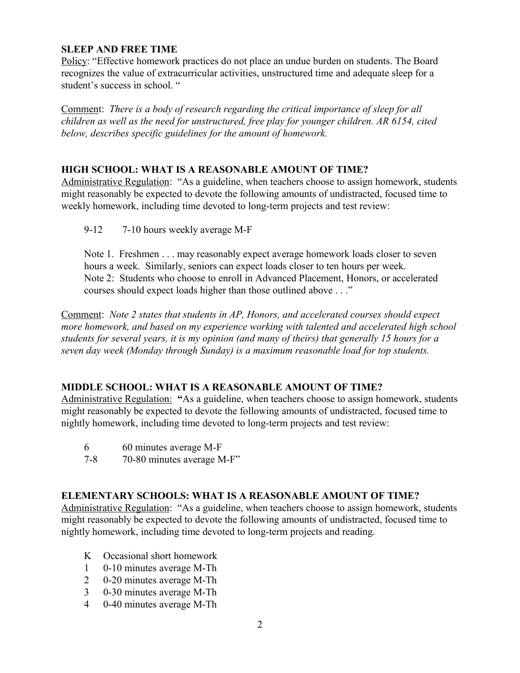## **SLEEP AND FREE TIME**

Policy: "Effective homework practices do not place an undue burden on students. The Board recognizes the value of extracurricular activities, unstructured time and adequate sleep for a student's success in school. "

Comment: *There is a body of research regarding the critical importance of sleep for all children as well as the need for unstructured, free play for younger children. AR 6154, cited below, describes specific guidelines for the amount of homework.*

#### **HIGH SCHOOL: WHAT IS A REASONABLE AMOUNT OF TIME?**

Administrative Regulation: "As a guideline, when teachers choose to assign homework, students might reasonably be expected to devote the following amounts of undistracted, focused time to weekly homework, including time devoted to long-term projects and test review:

9-12 7-10 hours weekly average M-F

Note 1. Freshmen . . . may reasonably expect average homework loads closer to seven hours a week. Similarly, seniors can expect loads closer to ten hours per week. Note 2: Students who choose to enroll in Advanced Placement, Honors, or accelerated courses should expect loads higher than those outlined above . . ."

Comment: *Note 2 states that students in AP, Honors, and accelerated courses should expect more homework, and based on my experience working with talented and accelerated high school students for several years, it is my opinion (and many of theirs) that generally 15 hours for a seven day week (Monday through Sunday) is a maximum reasonable load for top students.* 

### **MIDDLE SCHOOL: WHAT IS A REASONABLE AMOUNT OF TIME?**

Administrative Regulation: **"**As a guideline, when teachers choose to assign homework, students might reasonably be expected to devote the following amounts of undistracted, focused time to nightly homework, including time devoted to long-term projects and test review:

- 6 60 minutes average M-F
- 7-8 70-80 minutes average M-F"

### **ELEMENTARY SCHOOLS: WHAT IS A REASONABLE AMOUNT OF TIME?**

Administrative Regulation: "As a guideline, when teachers choose to assign homework, students might reasonably be expected to devote the following amounts of undistracted, focused time to nightly homework, including time devoted to long-term projects and reading.

- K Occasional short homework
- 1 0-10 minutes average M-Th
- 2 0-20 minutes average M-Th
- 3 0-30 minutes average M-Th
- 4 0-40 minutes average M-Th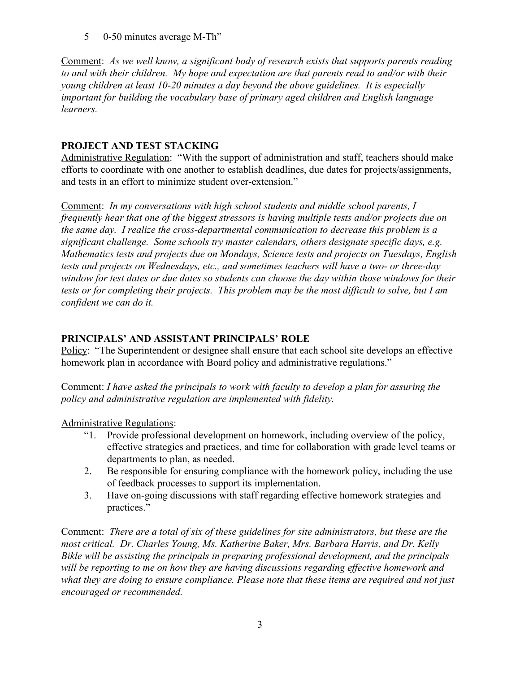5 0-50 minutes average M-Th"

Comment: *As we well know, a significant body of research exists that supports parents reading to and with their children. My hope and expectation are that parents read to and/or with their young children at least 10-20 minutes a day beyond the above guidelines. It is especially important for building the vocabulary base of primary aged children and English language learners.*

## **PROJECT AND TEST STACKING**

Administrative Regulation: "With the support of administration and staff, teachers should make efforts to coordinate with one another to establish deadlines, due dates for projects/assignments, and tests in an effort to minimize student over-extension."

Comment: *In my conversations with high school students and middle school parents, I frequently hear that one of the biggest stressors is having multiple tests and/or projects due on the same day. I realize the cross-departmental communication to decrease this problem is a significant challenge. Some schools try master calendars, others designate specific days, e.g. Mathematics tests and projects due on Mondays, Science tests and projects on Tuesdays, English tests and projects on Wednesdays, etc., and sometimes teachers will have a two- or three-day window for test dates or due dates so students can choose the day within those windows for their tests or for completing their projects. This problem may be the most difficult to solve, but I am confident we can do it.*

# **PRINCIPALS' AND ASSISTANT PRINCIPALS' ROLE**

Policy: "The Superintendent or designee shall ensure that each school site develops an effective homework plan in accordance with Board policy and administrative regulations."

Comment: *I have asked the principals to work with faculty to develop a plan for assuring the policy and administrative regulation are implemented with fidelity.* 

Administrative Regulations:

- "1. Provide professional development on homework, including overview of the policy, effective strategies and practices, and time for collaboration with grade level teams or departments to plan, as needed.
- 2. Be responsible for ensuring compliance with the homework policy, including the use of feedback processes to support its implementation.
- 3. Have on-going discussions with staff regarding effective homework strategies and practices."

Comment: *There are a total of six of these guidelines for site administrators, but these are the most critical. Dr. Charles Young, Ms. Katherine Baker, Mrs. Barbara Harris, and Dr. Kelly Bikle will be assisting the principals in preparing professional development, and the principals will be reporting to me on how they are having discussions regarding effective homework and what they are doing to ensure compliance. Please note that these items are required and not just encouraged or recommended.*